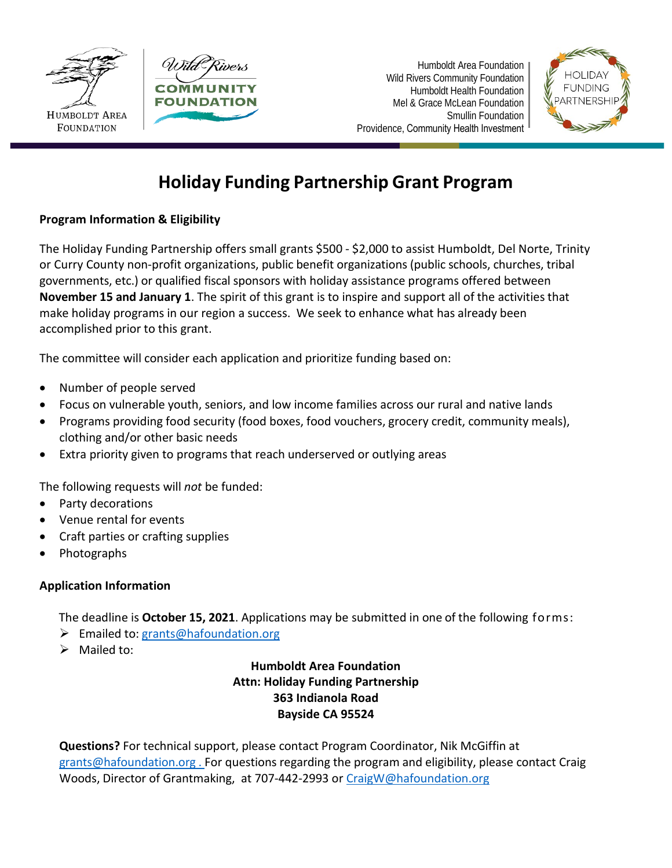





# **Holiday Funding Partnership Grant Program**

# **Program Information & Eligibility**

The Holiday Funding Partnership offers small grants \$500 - \$2,000 to assist Humboldt, Del Norte, Trinity or Curry County non-profit organizations, public benefit organizations (public schools, churches, tribal governments, etc.) or qualified fiscal sponsors with holiday assistance programs offered between **November 15 and January 1**. The spirit of this grant is to inspire and support all of the activities that make holiday programs in our region a success. We seek to enhance what has already been accomplished prior to this grant.

The committee will consider each application and prioritize funding based on:

- Number of people served
- Focus on vulnerable youth, seniors, and low income families across our rural and native lands
- Programs providing food security (food boxes, food vouchers, grocery credit, community meals), clothing and/or other basic needs
- Extra priority given to programs that reach underserved or outlying areas

The following requests will *not* be funded:

- Party decorations
- Venue rental for events
- Craft parties or crafting supplies
- Photographs

# **Application Information**

The deadline is **October 15, 2021**. Applications may be submitted in one of the following forms:

- $\triangleright$  Emailed to: grants@hafoundation.org
- > Mailed to:

# **Humboldt Area Foundation Attn: Holiday Funding Partnership 363 Indianola Road Bayside CA 95524**

**Questions?** For technical support, please contact Program Coordinator, Nik McGiffin at grants@hafoundation.org . For questions regarding the program and eligibility, please contact Craig Woods, Director of Grantmaking, at 707-442-2993 or CraigW@hafoundation.org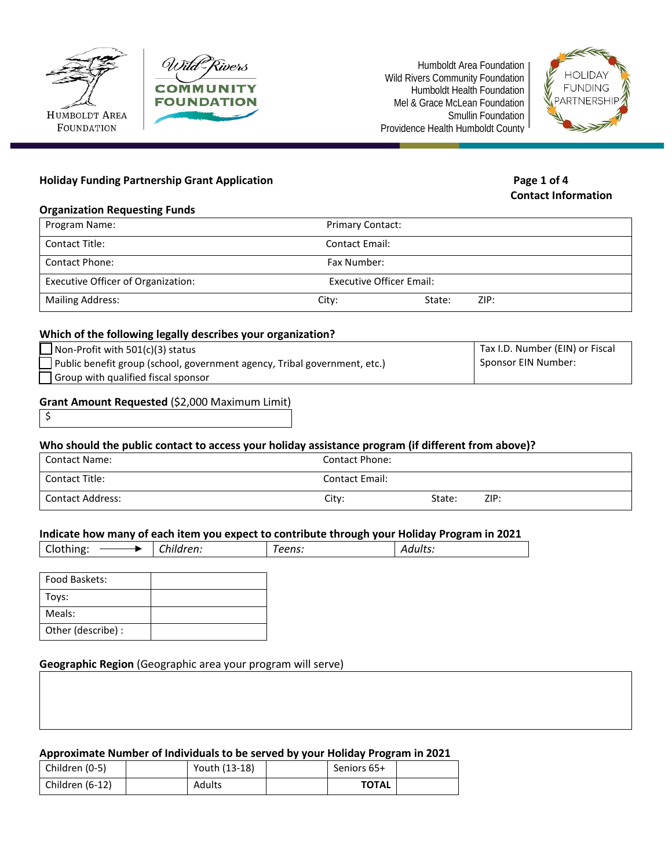





# Holiday Funding Partnership Grant Application **Page 1 of 4** and 2 and 2 and 2 and 2 and 2 and 2 and 2 and 2 and 2 and 2 and 2 and 2 and 2 and 2 and 2 and 2 and 2 and 2 and 2 and 2 and 2 and 2 and 2 and 2 and 2 and 2 and 2

**Contact Information**

## **Organization Requesting Funds**

| Program Name:                             | <b>Primary Contact:</b>         |        |      |
|-------------------------------------------|---------------------------------|--------|------|
| <b>Contact Title:</b>                     | <b>Contact Email:</b>           |        |      |
| <b>Contact Phone:</b>                     | Fax Number:                     |        |      |
| <b>Executive Officer of Organization:</b> | <b>Executive Officer Email:</b> |        |      |
| <b>Mailing Address:</b>                   | City:                           | State: | ZIP: |

## **Which of the following legally describes your organization?**

| Non-Profit with $501(c)(3)$ status                                        | Tax I.D. Number (EIN) or Fiscal |
|---------------------------------------------------------------------------|---------------------------------|
| Public benefit group (school, government agency, Tribal government, etc.) | Sponsor EIN Number:             |
| Group with qualified fiscal sponsor                                       |                                 |

## **Grant Amount Requested** (\$2,000 Maximum Limit)

\$

#### **Who should the public contact to access your holiday assistance program (if different from above)?**

| <b>Contact Name:</b>    | <b>Contact Phone:</b> |        |      |
|-------------------------|-----------------------|--------|------|
| <b>Contact Title:</b>   | <b>Contact Email:</b> |        |      |
| <b>Contact Address:</b> | City:                 | State: | ZIP: |

#### **Indicate how many of each item you expect to contribute through your Holiday Program in 2021**

| $\sim$<br>:jthing<br>' الہ | $\sim$<br>$\sim$<br>cmiaren: | , oone<br><b>CCIIJ.</b> | $.1 + c$<br>Auuits. |
|----------------------------|------------------------------|-------------------------|---------------------|
|                            |                              |                         |                     |

| Food Baskets:      |  |
|--------------------|--|
| Toys:              |  |
| Meals:             |  |
| Other (describe) : |  |

## **Geographic Region** (Geographic area your program will serve)

## **Approximate Number of Individuals to be served by your Holiday Program in 2021**

| Children (0-5)  | Youth (13-18) | Seniors 65+ |  |
|-----------------|---------------|-------------|--|
| Children (6-12) | Adults        | TOTAL       |  |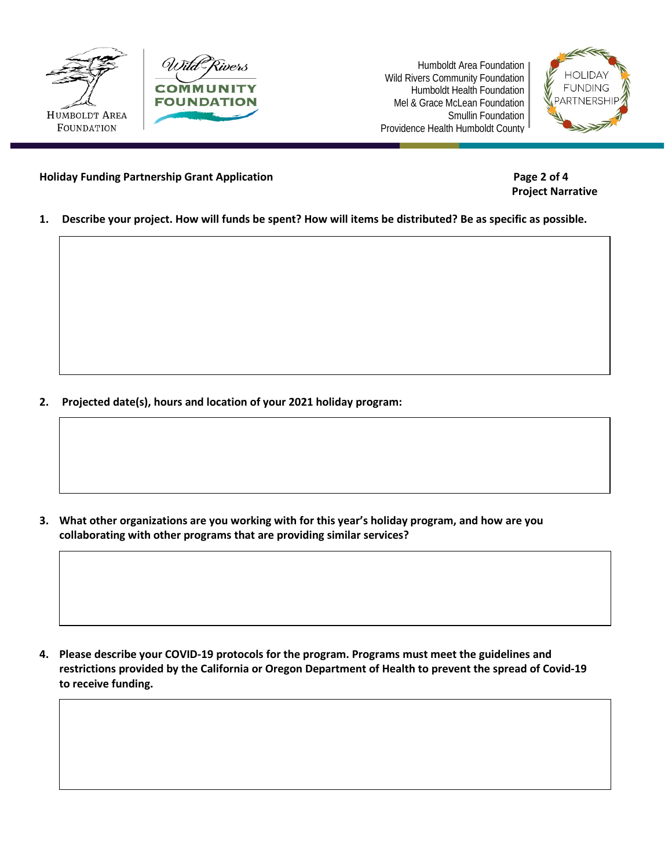





## Holiday Funding Partnership Grant Application **Page 2 of 4** and 2 and 2 and 2 and 2 and 2 and 2 and 2 and 2 and 2 and 2 and 2 and 2 and 2 and 2 and 2 and 2 and 2 and 2 and 2 and 2 and 2 and 2 and 2 and 2 and 2 and 2 and 2

 **Project Narrative**

**1. Describe your project. How will funds be spent? How will items be distributed? Be as specific as possible.** 

**2. Projected date(s), hours and location of your 2021 holiday program:**

**3. What other organizations are you working with for this year's holiday program, and how are you collaborating with other programs that are providing similar services?**

**4. Please describe your COVID-19 protocols for the program. Programs must meet the guidelines and restrictions provided by the California or Oregon Department of Health to prevent the spread of Covid-19 to receive funding.**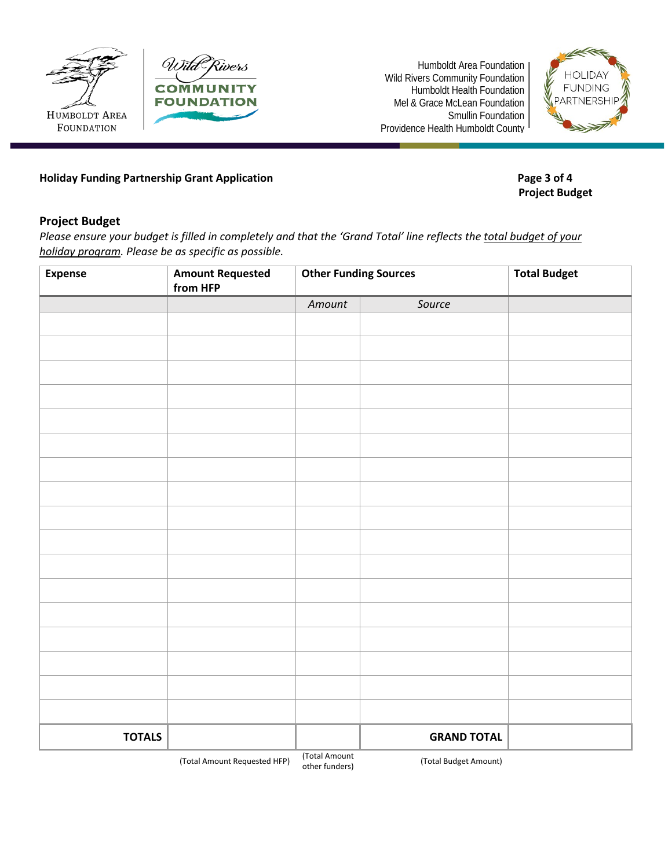





# Holiday Funding Partnership Grant Application **Page 3 of 4** and 2011 12:30 and 2012 12:30 and 2012 12:30 and 201

**Project Budget**

# **Project Budget**

*Please ensure your budget is filled in completely and that the 'Grand Total' line reflects the total budget of your holiday program. Please be as specific as possible.*

| <b>Expense</b> | <b>Amount Requested</b><br>from HFP | <b>Other Funding Sources</b>    |                       | <b>Total Budget</b> |
|----------------|-------------------------------------|---------------------------------|-----------------------|---------------------|
|                |                                     | Amount                          | Source                |                     |
|                |                                     |                                 |                       |                     |
|                |                                     |                                 |                       |                     |
|                |                                     |                                 |                       |                     |
|                |                                     |                                 |                       |                     |
|                |                                     |                                 |                       |                     |
|                |                                     |                                 |                       |                     |
|                |                                     |                                 |                       |                     |
|                |                                     |                                 |                       |                     |
|                |                                     |                                 |                       |                     |
|                |                                     |                                 |                       |                     |
|                |                                     |                                 |                       |                     |
|                |                                     |                                 |                       |                     |
|                |                                     |                                 |                       |                     |
|                |                                     |                                 |                       |                     |
|                |                                     |                                 |                       |                     |
|                |                                     |                                 |                       |                     |
|                |                                     |                                 |                       |                     |
| <b>TOTALS</b>  |                                     |                                 | <b>GRAND TOTAL</b>    |                     |
|                | (Total Amount Requested HFP)        | (Total Amount<br>other funders) | (Total Budget Amount) |                     |